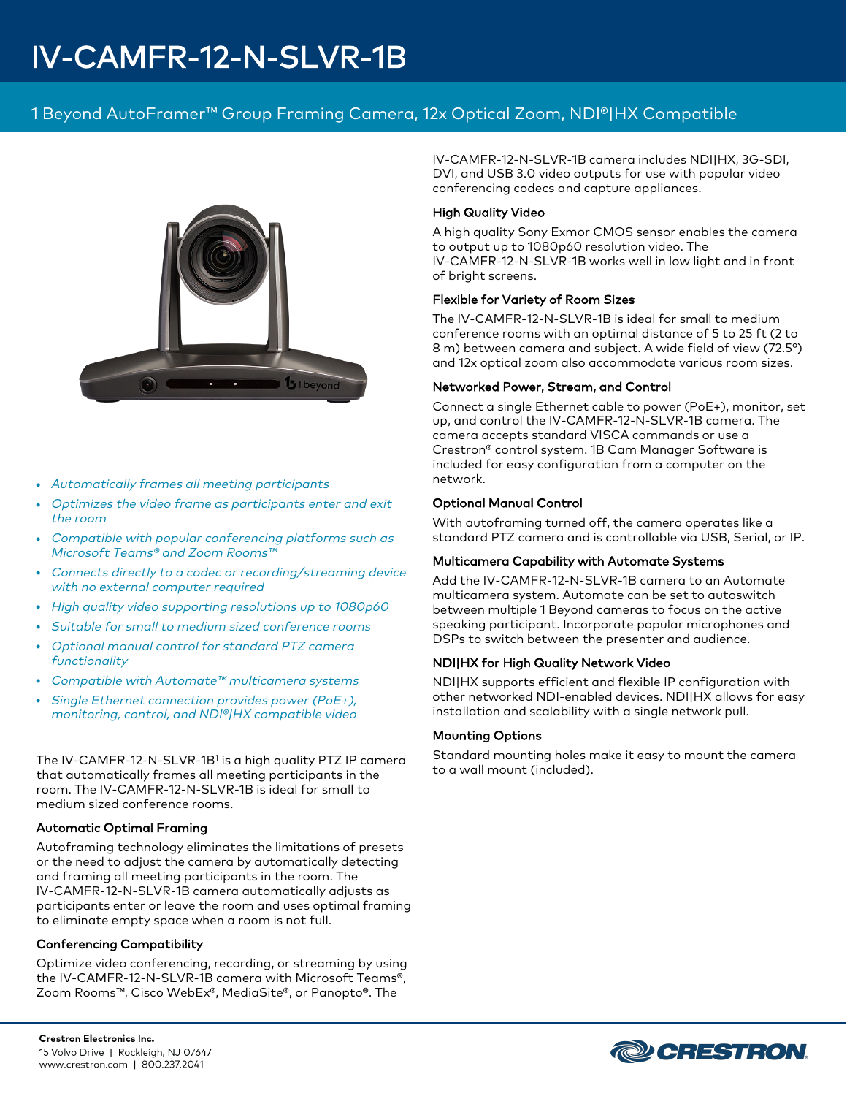# IV-CAMFR-12-N-SLVR-1B

## 1 Beyond AutoFramer™ Group Framing Camera, 12x Optical Zoom, NDI®|HX Compatible



- Automatically frames all meeting participants
- Optimizes the video frame as participants enter and exit the room
- Compatible with popular conferencing platforms such as Microsoft Teams® and Zoom Rooms™
- Connects directly to a codec or recording/streaming device with no external computer required
- High quality video supporting resolutions up to 1080p60
- Suitable for small to medium sized conference rooms
- <sup>l</sup> Optional manual control for standard PTZ camera functionality
- Compatible with Automate™ multicamera systems
- Single Ethernet connection provides power (PoE+), monitoring, control, and NDI®|HX compatible video

The IV-CAMFR-12-N-SLVR-1B<sup>1</sup> is a high quality PTZ IP camera that automatically frames all meeting participants in the room. The IV-CAMFR-12-N-SLVR-1B is ideal for small to medium sized conference rooms.

#### Automatic Optimal Framing

Autoframing technology eliminates the limitations of presets or the need to adjust the camera by automatically detecting and framing all meeting participants in the room. The IV-CAMFR-12-N-SLVR-1B camera automatically adjusts as participants enter or leave the room and uses optimal framing to eliminate empty space when a room is not full.

#### Conferencing Compatibility

Optimize video conferencing, recording, or streaming by using the IV-CAMFR-12-N-SLVR-1B camera with Microsoft Teams®, Zoom Rooms™, Cisco WebEx®, MediaSite®, or Panopto®. The

IV-CAMFR-12-N-SLVR-1B camera includes NDI|HX, 3G-SDI, DVI, and USB 3.0 video outputs for use with popular video conferencing codecs and capture appliances.

#### High Quality Video

A high quality Sony Exmor CMOS sensor enables the camera to output up to 1080p60 resolution video. The IV-CAMFR-12-N-SLVR-1B works well in low light and in front of bright screens.

#### Flexible for Variety of Room Sizes

The IV-CAMFR-12-N-SLVR-1B is ideal for small to medium conference rooms with an optimal distance of 5 to 25 ft (2 to 8 m) between camera and subject. A wide field of view (72.5°) and 12x optical zoom also accommodate various room sizes.

#### Networked Power, Stream, and Control

Connect a single Ethernet cable to power (PoE+), monitor, set up, and control the IV-CAMFR-12-N-SLVR-1B camera. The camera accepts standard VISCA commands or use a Crestron® control system. 1B Cam Manager Software is included for easy configuration from a computer on the network.

#### Optional Manual Control

With autoframing turned off, the camera operates like a standard PTZ camera and is controllable via USB, Serial, or IP.

#### Multicamera Capability with Automate Systems

Add the IV-CAMFR-12-N-SLVR-1B camera to an Automate multicamera system. Automate can be set to autoswitch between multiple 1 Beyond cameras to focus on the active speaking participant. Incorporate popular microphones and DSPs to switch between the presenter and audience.

#### NDI|HX for High Quality Network Video

NDI|HX supports efficient and flexible IP configuration with other networked NDI-enabled devices. NDI|HX allows for easy installation and scalability with a single network pull.

#### Mounting Options

Standard mounting holes make it easy to mount the camera to a wall mount (included).

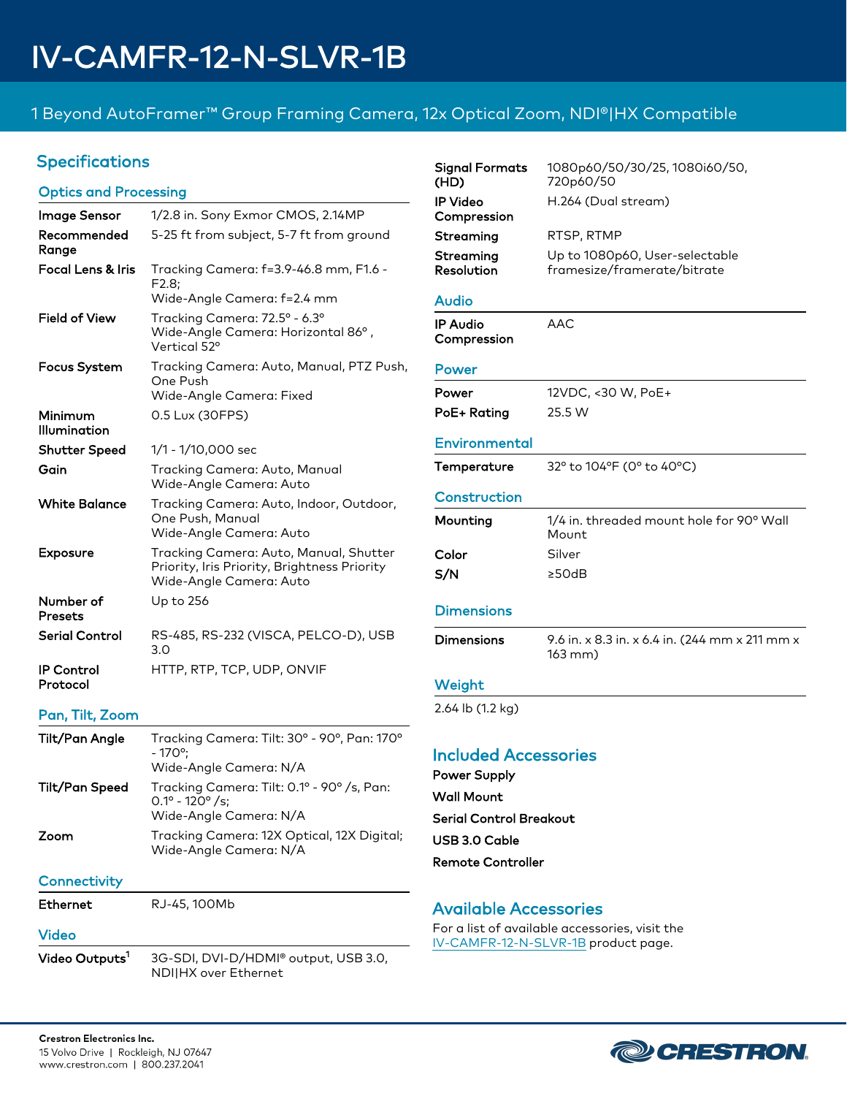# 1 Beyond AutoFramer™ Group Framing Camera, 12x Optical Zoom, NDI®|HX Compatible

## Specifications

### Optics and Processing

| Image Sensor                  | 1/2.8 in. Sony Exmor CMOS, 2.14MP                                                                                 |
|-------------------------------|-------------------------------------------------------------------------------------------------------------------|
| Recommended<br>Range          | 5-25 ft from subject, 5-7 ft from ground                                                                          |
| Focal Lens & Iris             | Tracking Camera: f=3.9-46.8 mm, F1.6 -<br>F2.8:<br>Wide-Angle Camera: f=2.4 mm                                    |
| Field of View                 | Tracking Camera: 72.5° - 6.3°<br>Wide-Angle Camera: Horizontal 86°,<br>Vertical 52°                               |
| Focus System                  | Tracking Camera: Auto, Manual, PTZ Push,<br>One Push<br>Wide-Angle Camera: Fixed                                  |
| Minimum<br>Illumination       | 0.5 Lux (30FPS)                                                                                                   |
| <b>Shutter Speed</b>          | 1/1 - 1/10,000 sec                                                                                                |
| Gain                          | Tracking Camera: Auto, Manual<br>Wide-Angle Camera: Auto                                                          |
| <b>White Balance</b>          | Tracking Camera: Auto, Indoor, Outdoor,<br>One Push, Manual<br>Wide-Angle Camera: Auto                            |
| <b>Exposure</b>               | Tracking Camera: Auto, Manual, Shutter<br>Priority, Iris Priority, Brightness Priority<br>Wide-Angle Camera: Auto |
| Number of<br>Presets          | Up to 256                                                                                                         |
| Serial Control                | RS-485, RS-232 (VISCA, PELCO-D), USB<br>3.0                                                                       |
| <b>IP Control</b><br>Protocol | HTTP, RTP, TCP, UDP, ONVIF                                                                                        |

#### Pan, Tilt, Zoom

| Tilt/Pan Angle  | Tracking Camera: Tilt: 30° - 90°, Pan: 170°<br>$-170^{\circ}$<br>Wide-Angle Camera: N/A                    |
|-----------------|------------------------------------------------------------------------------------------------------------|
| Tilt/Pan Speed  | Tracking Camera: Tilt: 0.1° - 90° /s, Pan:<br>$0.1^{\circ}$ - 120 $^{\circ}$ /s:<br>Wide-Angle Camera: N/A |
| Zoom            | Tracking Camera: 12X Optical, 12X Digital;<br>Wide-Angle Camera: N/A                                       |
| Connectivity    |                                                                                                            |
| <b>Ethernet</b> | RJ-45, 100Mb                                                                                               |
| Video           |                                                                                                            |

Video Outputs<sup>1</sup> 3G-SDI, DVI-D/HDMI® output, USB 3.0, NDI|HX over Ethernet

| <b>Signal Formats</b><br>(HD)  | 1080p60/50/30/25, 1080i60/50,<br>720p60/50                    |
|--------------------------------|---------------------------------------------------------------|
| <b>IP Video</b><br>Compression | H.264 (Dual stream)                                           |
| Streaming                      | RTSP, RTMP                                                    |
| Streaming<br>Resolution        | Up to 1080p60, User-selectable<br>framesize/framerate/bitrate |
| Audio                          |                                                               |
| <b>IP Audio</b><br>Compression | AAC                                                           |
| Power                          |                                                               |
| Power                          | 12VDC, <30 W, PoE+                                            |
| PoE+ Rating                    | 25.5 W                                                        |
| Environmental                  |                                                               |
| Temperature                    | 32° to 104°F (0° to 40°C)                                     |
| Construction                   |                                                               |
|                                | 1/4 in. threaded mount hole for 90° Wall                      |
| Mounting                       | Mount                                                         |
| Color                          | Silver                                                        |
| S/N                            | ≥50dB                                                         |
| <b>Dimensions</b>              |                                                               |
| <b>Dimensions</b>              | 9.6 in. x 8.3 in. x 6.4 in. (244 mm x 211 mm x<br>163 mm)     |
| Weight                         |                                                               |
| 2.64 lb (1.2 kg)               |                                                               |
|                                |                                                               |
| <b>Included Accessories</b>    |                                                               |
| <b>Power Supply</b>            |                                                               |
| Wall Mount                     |                                                               |
| <b>Serial Control Breakout</b> |                                                               |
| USB 3.0 Cable                  |                                                               |

## Available Accessories

For a list of available accessories, visit the [IV-CAMFR-12-N-SLVR-1B](https://www.crestron.com/model/6512852) product page.